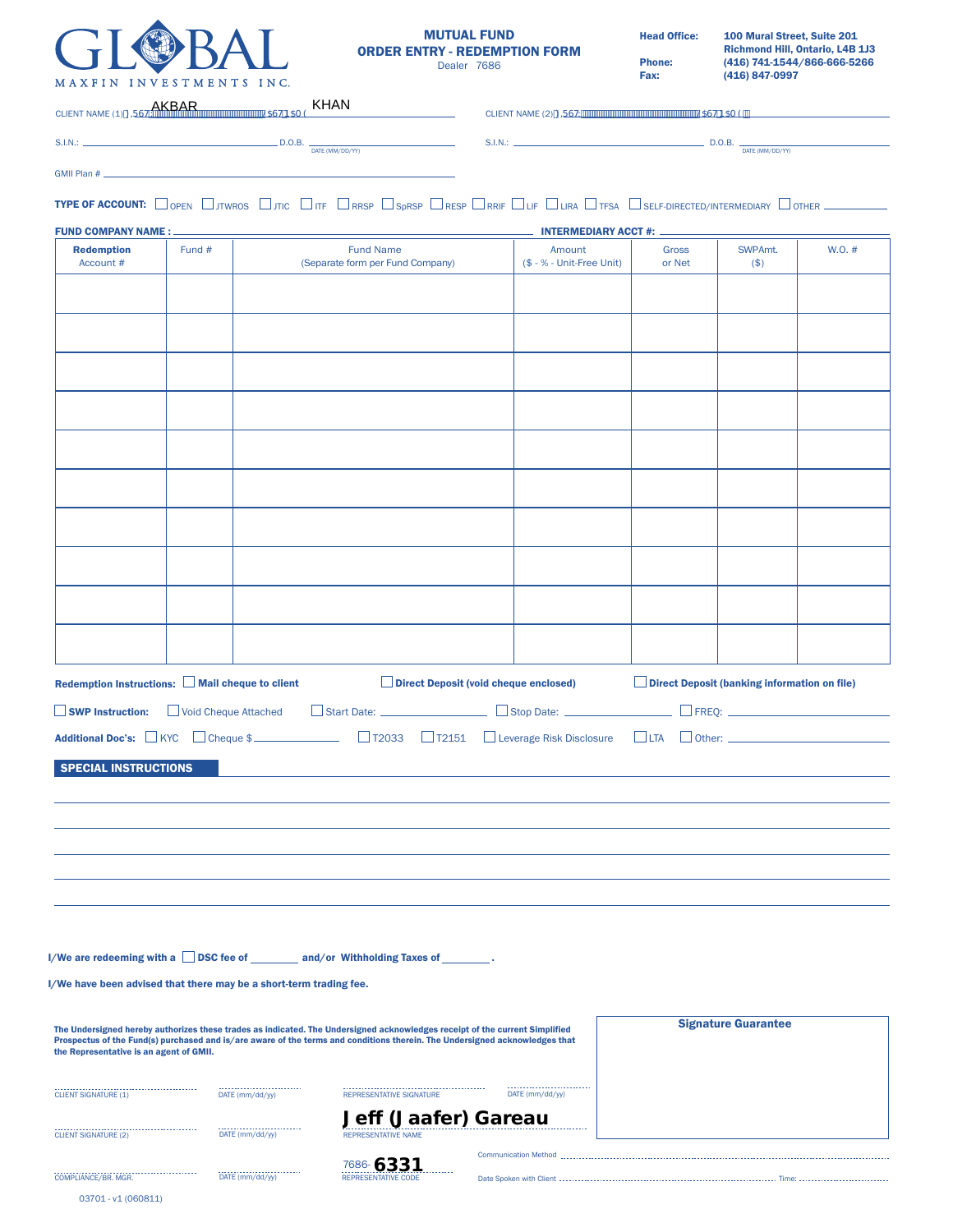

GMII Plan #

 $S.I.N.:$   $\_\_$ 

Date Spoken with Client Time:

Head Office: 100 Mural Street, Suite 201 Richmond Hill, Ontario, L4B 1J3 Phone: (416) 741-1544/866-666-5266<br>Fax: (416) 847-0997  $(416) 847-0997$ 

CLIENT NAME (2)),567:/\$671\$0(

CLIENT NAME (1)),567:/\$671\$0(

S.I.N.:  $\underline{\hspace{2cm}}$  D.O.B.  $\underline{\hspace{2cm}}$  D.O.B.  $\underline{\hspace{2cm}}$  D.TE (MM/DD/YY)

 $\Box$  D.O.B.  $\frac{1}{\text{DATE (MM/DD/YY)}}$ 

T**ype of account:** [L] open [L] jtwros [L] jtic [L] itf [L] rrsp [L] rrsp [L] rrsp [L] chrif [L] life [L] lifa [L] tfsa [L] self-directed/intermediary [L] other

| <b>FUND COMPANY NAME:</b>               |        |                                                                                                                                                              | <b>INTERMEDIARY ACCT #:</b>           |                        |                                                     |        |
|-----------------------------------------|--------|--------------------------------------------------------------------------------------------------------------------------------------------------------------|---------------------------------------|------------------------|-----------------------------------------------------|--------|
| <b>Redemption</b><br>Account #          | Fund # | <b>Fund Name</b><br>(Separate form per Fund Company)                                                                                                         | Amount<br>(\$ - % - Unit-Free Unit)   | <b>Gross</b><br>or Net | SWPAmt.<br>$($ \$)                                  | W.O. # |
|                                         |        |                                                                                                                                                              |                                       |                        |                                                     |        |
|                                         |        |                                                                                                                                                              |                                       |                        |                                                     |        |
|                                         |        |                                                                                                                                                              |                                       |                        |                                                     |        |
|                                         |        |                                                                                                                                                              |                                       |                        |                                                     |        |
|                                         |        |                                                                                                                                                              |                                       |                        |                                                     |        |
|                                         |        |                                                                                                                                                              |                                       |                        |                                                     |        |
|                                         |        |                                                                                                                                                              |                                       |                        |                                                     |        |
|                                         |        |                                                                                                                                                              |                                       |                        |                                                     |        |
|                                         |        |                                                                                                                                                              |                                       |                        |                                                     |        |
|                                         |        |                                                                                                                                                              |                                       |                        |                                                     |        |
|                                         |        |                                                                                                                                                              |                                       |                        |                                                     |        |
|                                         |        |                                                                                                                                                              |                                       |                        |                                                     |        |
|                                         |        | Redemption Instructions: $\Box$ Mail cheque to client<br>□ SWP Instruction: □ Void Cheque Attached □ Start Date: □ Stop Date: □ Stop Date: □ FREQ: □ FREQ: □ | Direct Deposit (void cheque enclosed) |                        | <b>Direct Deposit (banking information on file)</b> |        |
|                                         |        |                                                                                                                                                              |                                       |                        |                                                     |        |
|                                         |        | Additional Doc's: □KYC □ Cheque \$<br>□T2033 □T2151 □ Leverage Risk Disclosure                                                                               |                                       |                        | $\Box$ LTA $\Box$ Other: $\Box$                     |        |
| <b>SPECIAL INSTRUCTIONS</b>             |        |                                                                                                                                                              |                                       |                        |                                                     |        |
|                                         |        |                                                                                                                                                              |                                       |                        |                                                     |        |
|                                         |        |                                                                                                                                                              |                                       |                        |                                                     |        |
|                                         |        |                                                                                                                                                              |                                       |                        |                                                     |        |
|                                         |        |                                                                                                                                                              |                                       |                        |                                                     |        |
|                                         |        | I/We are redeeming with a DSC fee of ________ and/or Withholding Taxes of                                                                                    |                                       |                        |                                                     |        |
|                                         |        | I/We have been advised that there may be a short-term trading fee.                                                                                           |                                       |                        |                                                     |        |
|                                         |        | The Undersigned hereby authorizes these trades as indicated. The Undersigned acknowledges receipt of the current Simplified                                  |                                       |                        | <b>Signature Guarantee</b>                          |        |
| the Representative is an agent of GMII. |        | Prospectus of the Fund(s) purchased and is/are aware of the terms and conditions therein. The Undersigned acknowledges that                                  |                                       |                        |                                                     |        |
| <b>CLIENT SIGNATURE (1)</b>             |        | <b>REPRESENTATIVE SIGNATURE</b><br>DATE (mm/dd/yy)                                                                                                           | DATE (mm/dd/yy)                       |                        |                                                     |        |
| <b>CLIENT SIGNATURE (2)</b>             |        | <b>Jeff (Jaafer) Gareau</b><br>DATE (mm/dd/yy)<br>REPRESENTATIVE NAME                                                                                        |                                       |                        |                                                     |        |
|                                         |        | 7686-6331                                                                                                                                                    | Communication Method                  |                        |                                                     |        |

COMPLIANCE/BR. MGR. REPRESENTATIVE CODE

DATE (mm/dd/yy)